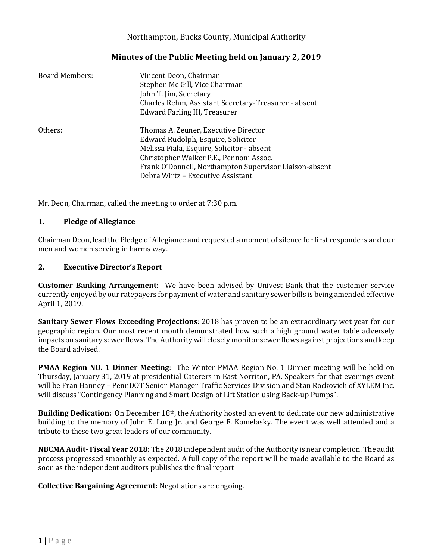### Northampton, Bucks County, Municipal Authority

#### **Minutes of the Public Meeting held on January 2, 2019**

| Board Members: | Vincent Deon, Chairman<br>Stephen Mc Gill, Vice Chairman<br>John T. Jim, Secretary<br>Charles Rehm, Assistant Secretary-Treasurer - absent<br>Edward Farling III, Treasurer                                                                                        |
|----------------|--------------------------------------------------------------------------------------------------------------------------------------------------------------------------------------------------------------------------------------------------------------------|
| Others:        | Thomas A. Zeuner, Executive Director<br>Edward Rudolph, Esquire, Solicitor<br>Melissa Fiala, Esquire, Solicitor - absent<br>Christopher Walker P.E., Pennoni Assoc.<br>Frank O'Donnell, Northampton Supervisor Liaison-absent<br>Debra Wirtz – Executive Assistant |

Mr. Deon, Chairman, called the meeting to order at 7:30 p.m.

#### **1. Pledge of Allegiance**

Chairman Deon, lead the Pledge of Allegiance and requested a moment of silence for first responders and our men and women serving in harms way.

#### **2. Executive Director's Report**

**Customer Banking Arrangement**: We have been advised by Univest Bank that the customer service currently enjoyed by our ratepayers for payment of water and sanitary sewer bills is being amended effective April 1, 2019.

**Sanitary Sewer Flows Exceeding Projections**: 2018 has proven to be an extraordinary wet year for our geographic region. Our most recent month demonstrated how such a high ground water table adversely impacts on sanitary sewer flows. The Authority will closely monitor sewer flows against projections and keep the Board advised.

**PMAA Region NO. 1 Dinner Meeting**: The Winter PMAA Region No. 1 Dinner meeting will be held on Thursday, January 31, 2019 at presidential Caterers in East Norriton, PA. Speakers for that evenings event will be Fran Hanney – PennDOT Senior Manager Traffic Services Division and Stan Rockovich of XYLEM Inc. will discuss "Contingency Planning and Smart Design of Lift Station using Back-up Pumps".

**Building Dedication:** On December 18th, the Authority hosted an event to dedicate our new administrative building to the memory of John E. Long Jr. and George F. Komelasky. The event was well attended and a tribute to these two great leaders of our community.

**NBCMA Audit- Fiscal Year 2018:** The 2018 independent audit of the Authority is near completion. The audit process progressed smoothly as expected. A full copy of the report will be made available to the Board as soon as the independent auditors publishes the final report

**Collective Bargaining Agreement:** Negotiations are ongoing.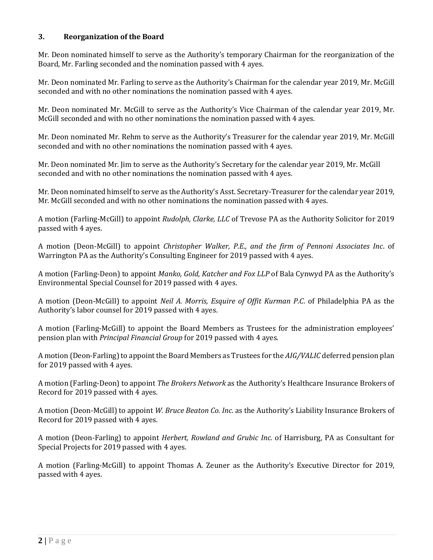#### **3. Reorganization of the Board**

Mr. Deon nominated himself to serve as the Authority's temporary Chairman for the reorganization of the Board, Mr. Farling seconded and the nomination passed with 4 ayes.

Mr. Deon nominated Mr. Farling to serve as the Authority's Chairman for the calendar year 2019, Mr. McGill seconded and with no other nominations the nomination passed with 4 ayes.

Mr. Deon nominated Mr. McGill to serve as the Authority's Vice Chairman of the calendar year 2019, Mr. McGill seconded and with no other nominations the nomination passed with 4 ayes.

Mr. Deon nominated Mr. Rehm to serve as the Authority's Treasurer for the calendar year 2019, Mr. McGill seconded and with no other nominations the nomination passed with 4 ayes.

Mr. Deon nominated Mr. Jim to serve as the Authority's Secretary for the calendar year 2019, Mr. McGill seconded and with no other nominations the nomination passed with 4 ayes.

Mr. Deon nominated himself to serve as the Authority's Asst. Secretary-Treasurer for the calendar year 2019, Mr. McGill seconded and with no other nominations the nomination passed with 4 ayes.

A motion (Farling-McGill) to appoint *Rudolph, Clarke, LLC* of Trevose PA as the Authority Solicitor for 2019 passed with 4 ayes.

A motion (Deon-McGill) to appoint *Christopher Walker, P.E., and the firm of Pennoni Associates Inc*. of Warrington PA as the Authority's Consulting Engineer for 2019 passed with 4 ayes.

A motion (Farling-Deon) to appoint *Manko, Gold, Katcher and Fox LLP* of Bala Cynwyd PA as the Authority's Environmental Special Counsel for 2019 passed with 4 ayes.

A motion (Deon-McGill) to appoint *Neil A. Morris, Esquire of Offit Kurman P.C*. of Philadelphia PA as the Authority's labor counsel for 2019 passed with 4 ayes.

A motion (Farling-McGill) to appoint the Board Members as Trustees for the administration employees' pension plan with *Principal Financial Group* for 2019 passed with 4 ayes.

A motion (Deon-Farling) to appoint the Board Members as Trustees for the *AIG/VALIC* deferred pension plan for 2019 passed with 4 ayes.

A motion (Farling-Deon) to appoint *The Brokers Network* as the Authority's Healthcare Insurance Brokers of Record for 2019 passed with 4 ayes.

A motion (Deon-McGill) to appoint *W. Bruce Beaton Co. Inc*. as the Authority's Liability Insurance Brokers of Record for 2019 passed with 4 ayes.

A motion (Deon-Farling) to appoint *Herbert, Rowland and Grubic Inc.* of Harrisburg, PA as Consultant for Special Projects for 2019 passed with 4 ayes.

A motion (Farling-McGill) to appoint Thomas A. Zeuner as the Authority's Executive Director for 2019, passed with 4 ayes.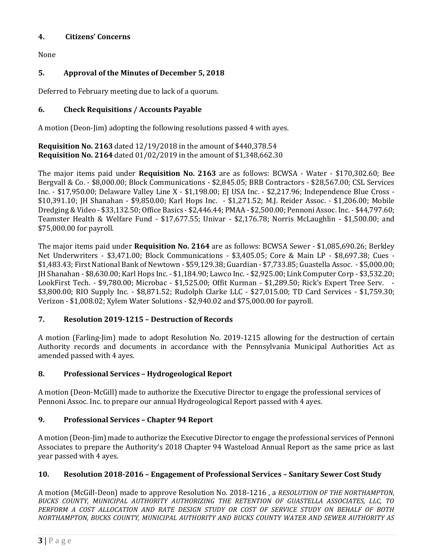### **4. Citizens' Concerns**

None

# **5. Approval of the Minutes of December 5, 2018**

Deferred to February meeting due to lack of a quorum.

# **6. Check Requisitions / Accounts Payable**

A motion (Deon-Jim) adopting the following resolutions passed 4 with ayes.

**Requisition No. 2163** dated 12/19/2018 in the amount of \$440,378.54 **Requisition No. 2164** dated 01/02/2019 in the amount of \$1,348,662.30

The major items paid under **Requisition No. 2163** are as follows: BCWSA - Water - \$170,302.60; Bee Bergvall & Co. - \$8,000.00; Block Communications - \$2,845.05; BRB Contractors - \$28,567.00; CSL Services Inc. - \$17,950.00; Delaware Valley Line X - \$1,198.00; EJ USA Inc. - \$2,217.96; Independence Blue Cross - \$10,391.10; JH Shanahan - \$9,850.00; Karl Hops Inc. - \$1,271.52; M.J. Reider Assoc. - \$1,206.00; Mobile Dredging & Video - \$33,132.50; Office Basics - \$2,446.44; PMAA - \$2,500.00; Pennoni Assoc. Inc. - \$44,797.60; Teamster Health & Welfare Fund - \$17,677.55; Univar - \$2,176.78; Norris McLaughlin - \$1,500.00; and \$75,000.00 for payroll.

The major items paid under **Requisition No. 2164** are as follows: BCWSA Sewer - \$1,085,690.26; Berkley Net Underwriters - \$3,471.00; Block Communications - \$3,405.05; Core & Main LP - \$8,697.38; Cues - \$1,483.43; First National Bank of Newtown - \$59,129.38; Guardian - \$7,733.85; Guastella Assoc. - \$5,000.00; JH Shanahan - \$8,630.00; Karl Hops Inc. - \$1,184.90; Lawco Inc. - \$2,925.00; Link Computer Corp - \$3,532.20; LookFirst Tech. - \$9,780.00; Microbac - \$1,525.00; Offit Kurman - \$1,289.50; Rick's Expert Tree Serv. - \$3,800.00; RIO Supply Inc. - \$8,871.52; Rudolph Clarke LLC - \$27,015.00; TD Card Services - \$1,759.30; Verizon - \$1,008.02; Xylem Water Solutions - \$2,940.02 and \$75,000.00 for payroll.

# **7. Resolution 2019-1215 – Destruction of Records**

A motion (Farling-Jim) made to adopt Resolution No. 2019-1215 allowing for the destruction of certain Authority records and documents in accordance with the Pennsylvania Municipal Authorities Act as amended passed with 4 ayes.

# **8. Professional Services – Hydrogeological Report**

A motion (Deon-McGill) made to authorize the Executive Director to engage the professional services of Pennoni Assoc. Inc. to prepare our annual Hydrogeological Report passed with 4 ayes.

# **9. Professional Services – Chapter 94 Report**

A motion (Deon-Jim) made to authorize the Executive Director to engage the professional services of Pennoni Associates to prepare the Authority's 2018 Chapter 94 Wasteload Annual Report as the same price as last year passed with 4 ayes.

# **10. Resolution 2018-2016 – Engagement of Professional Services – Sanitary Sewer Cost Study**

A motion (McGill-Deon) made to approve Resolution No. 2018-1216 , a *RESOLUTION OF THE NORTHAMPTON, BUCKS COUNTY, MUNICIPAL AUTHORITY AUTHORIZING THE RETENTION OF GUASTELLA ASSOCIATES, LLC, TO PERFORM A COST ALLOCATION AND RATE DESIGN STUDY OR COST OF SERVICE STUDY ON BEHALF OF BOTH NORTHAMPTON, BUCKS COUNTY, MUNICIPAL AUTHORITY AND BUCKS COUNTY WATER AND SEWER AUTHORITY AS*